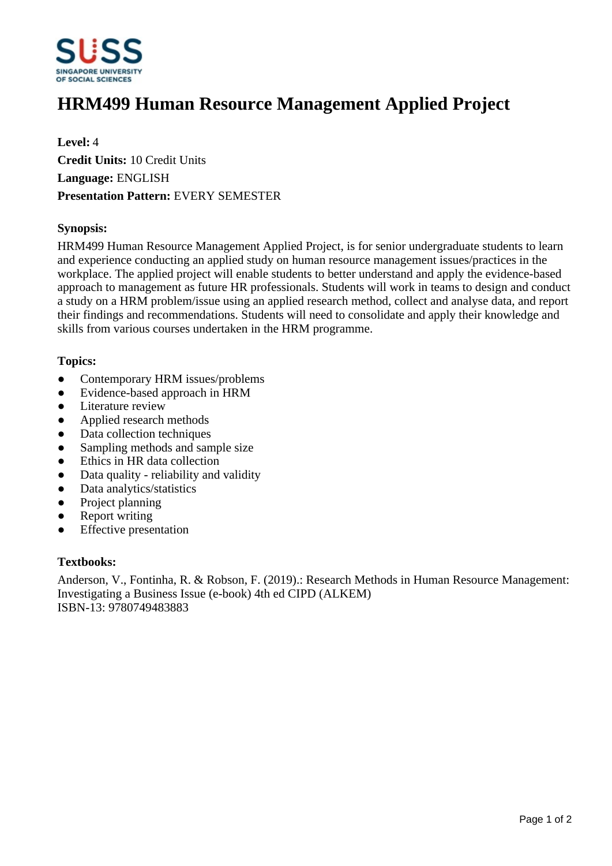

# **HRM499 Human Resource Management Applied Project**

**Level:** 4 **Credit Units:** 10 Credit Units **Language:** ENGLISH **Presentation Pattern:** EVERY SEMESTER

## **Synopsis:**

HRM499 Human Resource Management Applied Project, is for senior undergraduate students to learn and experience conducting an applied study on human resource management issues/practices in the workplace. The applied project will enable students to better understand and apply the evidence-based approach to management as future HR professionals. Students will work in teams to design and conduct a study on a HRM problem/issue using an applied research method, collect and analyse data, and report their findings and recommendations. Students will need to consolidate and apply their knowledge and skills from various courses undertaken in the HRM programme.

### **Topics:**

- Contemporary HRM issues/problems
- Evidence-based approach in HRM
- Literature review
- Applied research methods
- Data collection techniques
- Sampling methods and sample size
- $\bullet$  Ethics in HR data collection
- Data quality reliability and validity
- Data analytics/statistics
- Project planning
- Report writing
- ƔEffective presentation

### **Textbooks:**

Anderson, V., Fontinha, R. & Robson, F. (2019).: Research Methods in Human Resource Management: Investigating a Business Issue (e-book) 4th ed CIPD (ALKEM) ISBN-13: 9780749483883